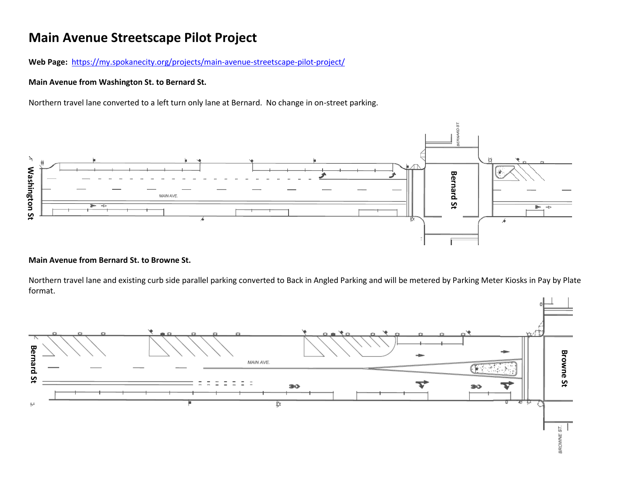# **Main Avenue Streetscape Pilot Project**

Web Page: <https://my.spokanecity.org/projects/main-avenue-streetscape-pilot-project/>

## **Main Avenue from Washington St. to Bernard St.**

Northern travel lane converted to a left turn only lane at Bernard. No change in on-street parking.



### **Main Avenue from Bernard St. to Browne St.**

Northern travel lane and existing curb side parallel parking converted to Back in Angled Parking and will be metered by Parking Meter Kiosks in Pay by Plate